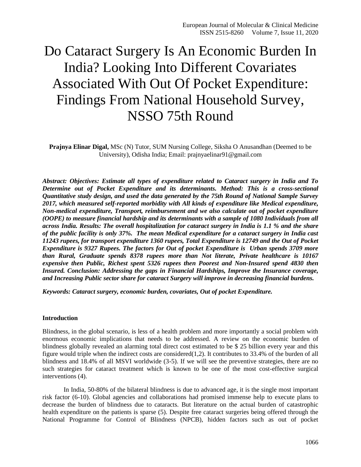# Do Cataract Surgery Is An Economic Burden In India? Looking Into Different Covariates Associated With Out Of Pocket Expenditure: Findings From National Household Survey, NSSO 75th Round

**Prajnya Elinar Digal,** MSc (N) Tutor, SUM Nursing College, Siksha O Anusandhan (Deemed to be University), Odisha India; Email: prajnyaelinar91@gmail.com

*Abstract: Objectives: Estimate all types of expenditure related to Cataract surgery in India and To Determine out of Pocket Expenditure and its determinants. Method: This is a cross-sectional Quantitative study design, and used the data generated by the 75th Round of National Sample Survey 2017, which measured self-reported morbidity with All kinds of expenditure like Medical expenditure, Non-medical expenditure, Transport, reimbursement and we also calculate out of pocket expenditure (OOPE) to measure financial hardship and its determinants with a sample of 1080 Individuals from all across India. Results: The overall hospitalization for cataract surgery in India is 1.1 % and the share of the public facility is only 37%. The mean Medical expenditure for a cataract surgery in India cast 11243 rupees, for transport expenditure 1360 rupees, Total Expenditure is 12749 and the Out of Pocket Expenditure is 9327 Rupees. The factors for Out of pocket Expenditure is Urban spends 3709 more than Rural, Graduate spends 8378 rupees more than Not literate, Private healthcare is 10167 expensive then Public, Richest spent 5326 rupees then Poorest and Non-Insured spend 4830 then Insured. Conclusion: Addressing the gaps in Financial Hardships, Improve the Insurance coverage, and Increasing Public sector share for cataract Surgery will improve in decreasing financial burdens.* 

*Keywords: Cataract surgery, economic burden, covariates, Out of pocket Expenditure.*

### **Introduction**

Blindness, in the global scenario, is less of a health problem and more importantly a social problem with enormous economic implications that needs to be addressed. A review on the economic burden of blindness globally revealed an alarming total direct cost estimated to be \$ 25 billion every year and this figure would triple when the indirect costs are considered(1,2). It contributes to 33.4% of the burden of all blindness and 18.4% of all MSVI worldwide (3-5). If we will see the preventive strategies, there are no such strategies for cataract treatment which is known to be one of the most cost-effective surgical interventions (4).

In India, 50-80% of the bilateral blindness is due to advanced age, it is the single most important risk factor (6-10). Global agencies and collaborations had promised immense help to execute plans to decrease the burden of blindness due to cataracts. But literature on the actual burden of catastrophic health expenditure on the patients is sparse (5). Despite free cataract surgeries being offered through the National Programme for Control of Blindness (NPCB), hidden factors such as out of pocket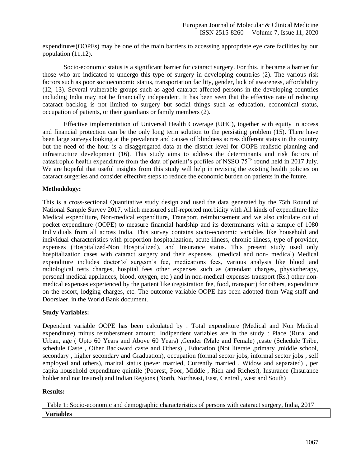expenditures(OOPEs) may be one of the main barriers to accessing appropriate eye care facilities by our population (11,12).

Socio-economic status is a significant barrier for cataract surgery. For this, it became a barrier for those who are indicated to undergo this type of surgery in developing countries (2). The various risk factors such as poor socioeconomic status, transportation facility, gender, lack of awareness, affordability (12, 13). Several vulnerable groups such as aged cataract affected persons in the developing countries including India may not be financially independent. It has been seen that the effective rate of reducing cataract backlog is not limited to surgery but social things such as education, economical status, occupation of patients, or their guardians or family members (2).

Effective implementation of Universal Health Coverage (UHC), together with equity in access and financial protection can be the only long term solution to the persisting problem (15). There have been large surveys looking at the prevalence and causes of blindness across different states in the country but the need of the hour is a disaggregated data at the district level for OOPE realistic planning and infrastructure development (16). This study aims to address the determinants and risk factors of catastrophic health expenditure from the data of patient's profiles of NSSO  $75<sup>Th</sup>$  round held in 2017 July. We are hopeful that useful insights from this study will help in revising the existing health policies on cataract surgeries and consider effective steps to reduce the economic burden on patients in the future.

### **Methodology:**

This is a cross-sectional Quantitative study design and used the data generated by the 75th Round of National Sample Survey 2017, which measured self-reported morbidity with All kinds of expenditure like Medical expenditure, Non-medical expenditure, Transport, reimbursement and we also calculate out of pocket expenditure (OOPE) to measure financial hardship and its determinants with a sample of 1080 Individuals from all across India. This survey contains socio-economic variables like household and individual characteristics with proportion hospitalization, acute illness, chronic illness, type of provider, expenses (Hospitalized-Non Hospitalized), and Insurance status. This present study used only hospitalization cases with cataract surgery and their expenses (medical and non- medical) Medical expenditure includes doctor's/ surgeon's fee, medications fees, various analysis like blood and radiological tests charges, hospital fees other expenses such as (attendant charges, physiotherapy, personal medical appliances, blood, oxygen, etc.) and in non-medical expenses transport (Rs.) other nonmedical expenses experienced by the patient like (registration fee, food, transport) for others, expenditure on the escort, lodging charges, etc. The outcome variable OOPE has been adopted from Wag staff and Doorslaer, in the World Bank document.

### **Study Variables:**

Dependent variable OOPE has been calculated by : Total expenditure (Medical and Non Medical expenditure) minus reimbersment amount. Indipendent variables are in the study : Place (Rural and Urban, age ( Upto 60 Years and Above 60 Years) ,Gender (Male and Female) ,caste (Schedule Tribe, schedule Caste , Other Backward caste and Others) , Education (Not literate ,primary ,middle school, secondary , higher secondary and Graduation), occupation (formal sector jobs, informal sector jobs , self employed and others), marital status (never married, Currently married , Widow and separated) , per capita household expenditure quintile (Poorest, Poor, Middle , Rich and Richest), Insurance (Insurance holder and not Insured) and Indian Regions (North, Northeast, East, Central , west and South)

### **Results:**

Table 1: Socio-economic and demographic characteristics of persons with cataract surgery, India, 2017 **Variables**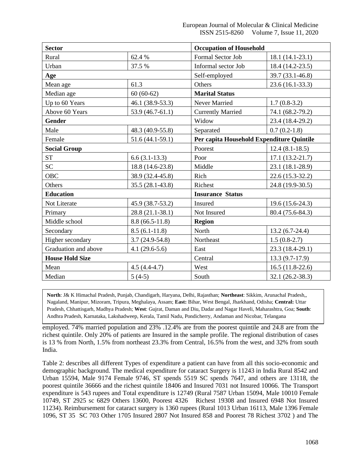| <b>Sector</b>          |                     | <b>Occupation of Household</b>            |                   |  |  |
|------------------------|---------------------|-------------------------------------------|-------------------|--|--|
| Rural                  | 62.4 %              | Formal Sector Job                         | 18.1 (14.1-23.1)  |  |  |
| Urban                  | 37.5 %              | Informal sector Job                       | 18.4 (14.2-23.5)  |  |  |
| Age                    |                     | Self-employed                             | 39.7 (33.1-46.8)  |  |  |
| Mean age               | 61.3                | Others                                    | $23.6(16.1-33.3)$ |  |  |
| Median age             | $60(60-62)$         | <b>Marital Status</b>                     |                   |  |  |
| Up to 60 Years         | 46.1 (38.9-53.3)    | Never Married                             | $1.7(0.8-3.2)$    |  |  |
| Above 60 Years         | $53.9(46.7-61.1)$   | <b>Currently Married</b>                  | 74.1 (68.2-79.2)  |  |  |
| <b>Gender</b>          |                     | Widow                                     | 23.4 (18.4-29.2)  |  |  |
| Male                   | 48.3 (40.9-55.8)    | Separated                                 | $0.7(0.2-1.8)$    |  |  |
| Female                 | $51.6(44.1-59.1)$   | Per capita Household Expenditure Quintile |                   |  |  |
| <b>Social Group</b>    |                     | Poorest                                   | $12.4(8.1-18.5)$  |  |  |
| <b>ST</b>              | $6.6(3.1-13.3)$     | Poor                                      | $17.1(13.2-21.7)$ |  |  |
| SC <sub>1</sub>        | 18.8 (14.6-23.8)    | Middle                                    | 23.1 (18.1-28.9)  |  |  |
| <b>OBC</b>             | 38.9 (32.4-45.8)    | Rich                                      | 22.6 (15.3-32.2)  |  |  |
| Others                 | $35.5(28.1 - 43.8)$ | Richest                                   | 24.8 (19.9-30.5)  |  |  |
| <b>Education</b>       |                     | <b>Insurance Status</b>                   |                   |  |  |
| Not Literate           | 45.9 (38.7-53.2)    | Insured                                   | 19.6 (15.6-24.3)  |  |  |
| Primary                | 28.8 (21.1-38.1)    | Not Insured                               | 80.4 (75.6-84.3)  |  |  |
| Middle school          | $8.8(66.5-11.8)$    | <b>Region</b>                             |                   |  |  |
| Secondary              | $8.5(6.1-11.8)$     | North                                     | $13.2(6.7-24.4)$  |  |  |
| Higher secondary       | $3.7(24.9-54.8)$    | Northeast                                 | $1.5(0.8-2.7)$    |  |  |
| Graduation and above   | $4.1(29.6-5.6)$     | East                                      | 23.3 (18.4-29.1)  |  |  |
| <b>House Hold Size</b> |                     | Central                                   | $13.3(9.7-17.9)$  |  |  |
| Mean                   | $4.5(4.4-4.7)$      | West                                      | $16.5(11.8-22.6)$ |  |  |
| Median                 | $5(4-5)$            | South                                     | 32.1 (26.2-38.3)  |  |  |

North: J& K Himachal Pradesh, Punjab, Chandigarh, Haryana, Delhi, Rajasthan; Northeast: Sikkim, Arunachal Pradesh, Nagaland, Manipur, Mizoram, Tripura, Meghalaya, Assam; East: Bihar, West Bengal, Jharkhand, Odisha; Central: Uttar profile and the basic states are in the international community of the community of the community of the community of the community of the community of the community of the community of the community of the community of th Andhra Pradesh, Karnataka, Lakshadweep, Kerala, Tamil Nadu, Pondicherry, Andaman and Nicobar, Telangana Pradesh, Chhattisgarh, Madhya Pradesh; **West**: Gujrat, Daman and Diu, Dadar and Nagar Haveli, Maharashtra, Goa; **South**:

employed. 74% married population and 23% .12.4% are from the poorest quintile and 24.8 are from the richest quintile. Only 20% of patients are Insured in the sample profile. The regional distribution of cases is 13 % from North, 1.5% from northeast 23.3% from Central, 16.5% from the west, and 32% from south India.

Table 2: describes all different Types of expenditure a patient can have from all this socio-economic and demographic background. The medical expenditure for cataract Surgery is 11243 in India Rural 8542 and Urban 15594, Male 9174 Female 9746, ST spends 5519 SC spends 7647, and others are 13118, the poorest quintile 36666 and the richest quintile 18406 and Insured 7031 not Insured 10066. The Transport expenditure is 543 rupees and Total expenditure is 12749 (Rural 7587 Urban 15094, Male 10010 Female 10749, ST 2925 sc 6829 Others 13600, Poorest 4326 Richest 19308 and Insured 6948 Not Insured 11234). Reimbursement for cataract surgery is 1360 rupees (Rural 1013 Urban 16113, Male 1396 Female 1096, ST 35 SC 703 Other 1705 Insured 2807 Not Insured 858 and Poorest 78 Richest 3702 ) and The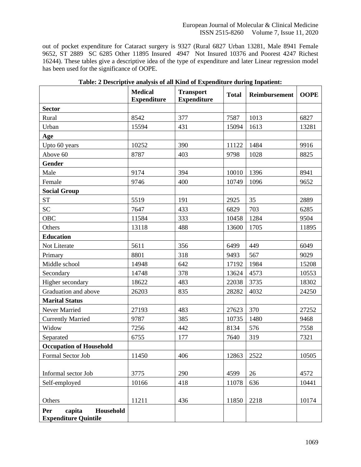out of pocket expenditure for Cataract surgery is 9327 (Rural 6827 Urban 13281, Male 8941 Female 9652, ST 2889 SC 6285 Other 11895 Insured 4947 Not Insured 10376 and Poorest 4247 Richest 16244). These tables give a descriptive idea of the type of expenditure and later Linear regression model has been used for the significance of OOPE.

|                                                           | <b>Medical</b><br><b>Expenditure</b> | <b>Transport</b><br><b>Expenditure</b> | <b>Total</b> | Reimbursement | <b>OOPE</b> |
|-----------------------------------------------------------|--------------------------------------|----------------------------------------|--------------|---------------|-------------|
| <b>Sector</b>                                             |                                      |                                        |              |               |             |
| Rural                                                     | 8542                                 | 377                                    | 7587         | 1013          | 6827        |
| Urban                                                     | 15594                                | 431                                    | 15094        | 1613          | 13281       |
| Age                                                       |                                      |                                        |              |               |             |
| Upto 60 years                                             | 10252                                | 390                                    | 11122        | 1484          | 9916        |
| Above 60                                                  | 8787                                 | 403                                    | 9798         | 1028          | 8825        |
| <b>Gender</b>                                             |                                      |                                        |              |               |             |
| Male                                                      | 9174                                 | 394                                    | 10010        | 1396          | 8941        |
| Female                                                    | 9746                                 | 400                                    | 10749        | 1096          | 9652        |
| <b>Social Group</b>                                       |                                      |                                        |              |               |             |
| <b>ST</b>                                                 | 5519                                 | 191                                    | 2925         | 35            | 2889        |
| <b>SC</b>                                                 | 7647                                 | 433                                    | 6829         | 703           | 6285        |
| <b>OBC</b>                                                | 11584                                | 333                                    | 10458        | 1284          | 9504        |
| Others                                                    | 13118                                | 488                                    | 13600        | 1705          | 11895       |
| <b>Education</b>                                          |                                      |                                        |              |               |             |
| Not Literate                                              | 5611                                 | 356                                    | 6499         | 449           | 6049        |
| Primary                                                   | 8801                                 | 318                                    | 9493         | 567           | 9029        |
| Middle school                                             | 14948                                | 642                                    | 17192        | 1984          | 15208       |
| Secondary                                                 | 14748                                | 378                                    | 13624        | 4573          | 10553       |
| Higher secondary                                          | 18622                                | 483                                    | 22038        | 3735          | 18302       |
| Graduation and above                                      | 26203                                | 835                                    | 28282        | 4032          | 24250       |
| <b>Marital Status</b>                                     |                                      |                                        |              |               |             |
| Never Married                                             | 27193                                | 483                                    | 27623        | 370           | 27252       |
| <b>Currently Married</b>                                  | 9787                                 | 385                                    | 10735        | 1480          | 9468        |
| Widow                                                     | 7256                                 | 442                                    | 8134         | 576           | 7558        |
| Separated                                                 | 6755                                 | 177                                    | 7640         | 319           | 7321        |
| <b>Occupation of Household</b>                            |                                      |                                        |              |               |             |
| Formal Sector Job                                         | 11450                                | 406                                    | 12863        | 2522          | 10505       |
| Informal sector Job                                       | 3775                                 | 290                                    | 4599         | 26            | 4572        |
| Self-employed                                             | 10166                                | 418                                    | 11078        | 636           | 10441       |
| Others                                                    | 11211                                | 436                                    | 11850        | 2218          | 10174       |
| capita<br>Household<br>Per<br><b>Expenditure Quintile</b> |                                      |                                        |              |               |             |

### **Table: 2 Descriptive analysis of all Kind of Expenditure during Inpatient:**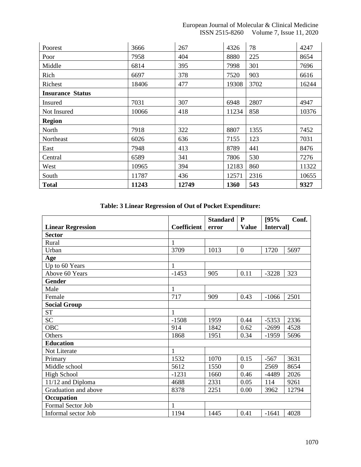### European Journal of Molecular & Clinical Medicine ISSN 2515-8260 Volume 7, Issue 11, 2020

| Poorest                 | 3666  | 267   | 4326  | 78   | 4247  |
|-------------------------|-------|-------|-------|------|-------|
| Poor                    | 7958  | 404   | 8880  | 225  | 8654  |
| Middle                  | 6814  | 395   | 7998  | 301  | 7696  |
| Rich                    | 6697  | 378   | 7520  | 903  | 6616  |
| Richest                 | 18406 | 477   | 19308 | 3702 | 16244 |
| <b>Insurance Status</b> |       |       |       |      |       |
| Insured                 | 7031  | 307   | 6948  | 2807 | 4947  |
| Not Insured             | 10066 | 418   | 11234 | 858  | 10376 |
| <b>Region</b>           |       |       |       |      |       |
| North                   | 7918  | 322   | 8807  | 1355 | 7452  |
| Northeast               | 6026  | 636   | 7155  | 123  | 7031  |
| East                    | 7948  | 413   | 8789  | 441  | 8476  |
| Central                 | 6589  | 341   | 7806  | 530  | 7276  |
| West                    | 10965 | 394   | 12183 | 860  | 11322 |
| South                   | 11787 | 436   | 12571 | 2316 | 10655 |
| <b>Total</b>            | 11243 | 12749 | 1360  | 543  | 9327  |

## **Table: 3 Linear Regression of Out of Pocket Expenditure:**

|                          |                    | <b>Standard</b>                          | P                | 195%    | Conf. |
|--------------------------|--------------------|------------------------------------------|------------------|---------|-------|
| <b>Linear Regression</b> | <b>Coefficient</b> | <b>Value</b><br><b>Interval</b><br>error |                  |         |       |
| <b>Sector</b>            |                    |                                          |                  |         |       |
| Rural                    | $\mathbf{1}$       |                                          |                  |         |       |
| Urban                    | 3709               | 1013                                     | $\boldsymbol{0}$ | 1720    | 5697  |
| Age                      |                    |                                          |                  |         |       |
| Up to 60 Years           | $\mathbf{1}$       |                                          |                  |         |       |
| Above 60 Years           | $-1453$            | 905                                      | 0.11             | $-3228$ | 323   |
| <b>Gender</b>            |                    |                                          |                  |         |       |
| Male                     | $\mathbf{1}$       |                                          |                  |         |       |
| Female                   | 717                | 909                                      | 0.43             | $-1066$ | 2501  |
| <b>Social Group</b>      |                    |                                          |                  |         |       |
| <b>ST</b>                | $\mathbf{1}$       |                                          |                  |         |       |
| <b>SC</b>                | $-1508$            | 1959                                     | 0.44             | $-5353$ | 2336  |
| <b>OBC</b>               | 914                | 1842                                     | 0.62             | $-2699$ | 4528  |
| Others                   | 1868               | 1951                                     | 0.34             | -1959   | 5696  |
| <b>Education</b>         |                    |                                          |                  |         |       |
| Not Literate             | $\mathbf{1}$       |                                          |                  |         |       |
| Primary                  | 1532               | 1070                                     | 0.15             | $-567$  | 3631  |
| Middle school            | 5612               | 1550                                     | $\overline{0}$   | 2569    | 8654  |
| <b>High School</b>       | $-1231$            | 1660                                     | 0.46             | $-4489$ | 2026  |
| 11/12 and Diploma        | 4688               | 2331                                     | 0.05             | 114     | 9261  |
| Graduation and above     | 8378               | 2251                                     | 0.00             | 3962    | 12794 |
| Occupation               |                    |                                          |                  |         |       |
| Formal Sector Job        | $\mathbf{1}$       |                                          |                  |         |       |
| Informal sector Job      | 1194               | 1445                                     | 0.41             | $-1641$ | 4028  |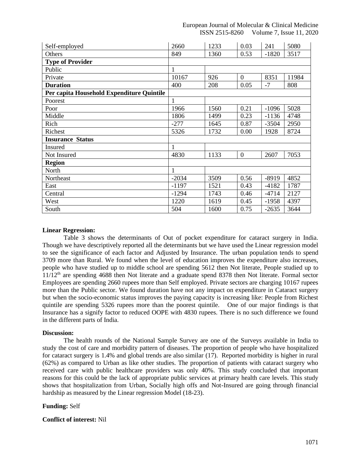European Journal of Molecular & Clinical Medicine ISSN 2515-8260 Volume 7, Issue 11, 2020

| Self-employed                             | 2660         | 1233 | 0.03           | 241     | 5080  |
|-------------------------------------------|--------------|------|----------------|---------|-------|
| Others                                    | 849          | 1360 | 0.53           | $-1820$ | 3517  |
| <b>Type of Provider</b>                   |              |      |                |         |       |
| Public                                    | $\mathbf{1}$ |      |                |         |       |
| Private                                   | 10167        | 926  | $\overline{0}$ | 8351    | 11984 |
| <b>Duration</b>                           | 400          | 208  | 0.05           | $-7$    | 808   |
| Per capita Household Expenditure Quintile |              |      |                |         |       |
| Poorest                                   |              |      |                |         |       |
| Poor                                      | 1966         | 1560 | 0.21           | $-1096$ | 5028  |
| Middle                                    | 1806         | 1499 | 0.23           | $-1136$ | 4748  |
| Rich                                      | $-277$       | 1645 | 0.87           | $-3504$ | 2950  |
| Richest                                   | 5326         | 1732 | 0.00           | 1928    | 8724  |
| <b>Insurance Status</b>                   |              |      |                |         |       |
| Insured                                   | $\mathbf{1}$ |      |                |         |       |
| Not Insured                               | 4830         | 1133 | $\overline{0}$ | 2607    | 7053  |
| <b>Region</b>                             |              |      |                |         |       |
| North                                     | $\mathbf{1}$ |      |                |         |       |
| Northeast                                 | $-2034$      | 3509 | 0.56           | $-8919$ | 4852  |
| East                                      | $-1197$      | 1521 | 0.43           | $-4182$ | 1787  |
| Central                                   | $-1294$      | 1743 | 0.46           | $-4714$ | 2127  |
| West                                      | 1220         | 1619 | 0.45           | $-1958$ | 4397  |
| South                                     | 504          | 1600 | 0.75           | $-2635$ | 3644  |

### **Linear Regression:**

Table 3 shows the determinants of Out of pocket expenditure for cataract surgery in India. Though we have descriptively reported all the determinants but we have used the Linear regression model to see the significance of each factor and Adjusted by Insurance. The urban population tends to spend 3709 more than Rural. We found when the level of education improves the expenditure also increases, people who have studied up to middle school are spending 5612 then Not literate, People studied up to  $11/12<sup>th</sup>$  are spending 4688 then Not literate and a graduate spend 8378 then Not literate. Formal sector Employees are spending 2660 rupees more than Self employed. Private sectors are charging 10167 rupees more than the Public sector. We found duration have not any impact on expenditure in Cataract surgery but when the socio-economic status improves the paying capacity is increasing like: People from Richest quintile are spending 5326 rupees more than the poorest quintile. One of our major findings is that Insurance has a signify factor to reduced OOPE with 4830 rupees. There is no such difference we found in the different parts of India.

#### **Discussion:**

The health rounds of the National Sample Survey are one of the Surveys available in India to study the cost of care and morbidity pattern of diseases. The proportion of people who have hospitalized for cataract surgery is 1.4% and global trends are also similar (17). Reported morbidity is higher in rural (62%) as compared to Urban as like other studies. The proportion of patients with cataract surgery who received care with public healthcare providers was only 40%. This study concluded that important reasons for this could be the lack of appropriate public services at primary health care levels. This study shows that hospitalization from Urban, Socially high offs and Not-Insured are going through financial hardship as measured by the Linear regression Model (18-23).

### **Funding:** Self

### **Conflict of interest:** Nil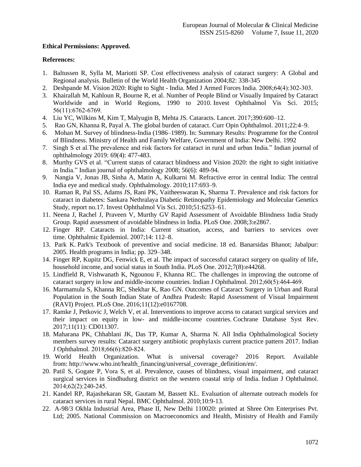### **Ethical Permissions: Approved.**

### **References:**

- 1. Baltussen R, Sylla M, Mariotti SP. Cost effectiveness analysis of cataract surgery: A Global and Regional analysis. Bulletin of the World Health Organization 2004;82: 338-345
- 2. Deshpande M. Vision 2020: Right to Sight India. Med J Armed Forces India. 2008;64(4):302‐303.
- 3. Khairallah M, Kahloun R, Bourne R, et al. Number of People Blind or Visually Impaired by Cataract Worldwide and in World Regions, 1990 to 2010. Invest Ophthalmol Vis Sci. 2015; 56(11):6762‐6769.
- 4. Liu YC, Wilkins M, Kim T, Malyugin B, Mehta JS. Cataracts. Lancet. 2017;390:600–12.
- 5. Rao GN, Khanna R, Payal A. The global burden of cataract. Curr Opin Ophthalmol. 2011;22:4–9.
- 6. Mohan M. Survey of blindness-India (1986–1989). In: Summary Results: Programme for the Control of Blindness. Ministry of Health and Family Welfare, Government of India: New Delhi. 1992
- 7. Singh S et al.The prevalence and risk factors for cataract in rural and urban India." Indian journal of ophthalmology 2019: 69(4): 477-483.
- 8. Murthy GVS et al. "Current status of cataract blindness and Vision 2020: the right to sight initiative in India." Indian journal of ophthalmology 2008; 56(6): 489-94.
- 9. Nangia V, Jonas JB, Sinha A, Matin A, Kulkarni M. Refractive error in central India: The central India eye and medical study. Ophthalmology. 2010;117:693–9.
- 10. Raman R, Pal SS, Adams JS, Rani PK, Vaitheeswaran K, Sharma T. Prevalence and risk factors for cataract in diabetes: Sankara Nethralaya Diabetic Retinopathy Epidemiology and Molecular Genetics Study, report no.17. Invest Ophthalmol Vis Sci. 2010;51:6253–61.
- 11. Neena J, Rachel J, Praveen V, Murthy GV Rapid Assessment of Avoidable Blindness India Study Group. Rapid assessment of avoidable blindness in India. PLoS One. 2008;3:e2867.
- 12. Finger RP. Cataracts in India: Current situation, access, and barriers to services over time. Ophthalmic Epidemiol. 2007;14: 112–8.
- 13. Park K. Park's Textbook of preventive and social medicine. 18 ed. Banarsidas Bhanot; Jabalpur: 2005. Health programs in India; pp. 329–348.
- 14. Finger RP, Kupitz DG, Fenwick E, et al. The impact of successful cataract surgery on quality of life, household income, and social status in South India. PLoS One. 2012;7(8):e44268.
- 15. Lindfield R, Vishwanath K, Ngounou F, Khanna RC. The challenges in improving the outcome of cataract surgery in low and middle-income countries. Indian J Ophthalmol. 2012;60(5):464‐469.
- 16. Marmamula S, Khanna RC, Shekhar K, Rao GN. Outcomes of Cataract Surgery in Urban and Rural Population in the South Indian State of Andhra Pradesh: Rapid Assessment of Visual Impairment (RAVI) Project. PLoS One. 2016;11(12):e0167708.
- 17. Ramke J, Petkovic J, Welch V, et al. Interventions to improve access to cataract surgical services and their impact on equity in low- and middle-income countries. Cochrane Database Syst Rev. 2017;11(11): CD011307.
- 18. Maharana PK, Chhablani JK, Das TP, Kumar A, Sharma N. All India Ophthalmological Society members survey results: Cataract surgery antibiotic prophylaxis current practice pattern 2017. Indian J Ophthalmol. 2018;66(6):820‐824.
- 19. World Health Organization. What is universal coverage? 2016 Report. Available from: [http://www.who.int/health\\_financing/universal\\_coverage\\_definition/en/.](http://www.who.int/health_financing/universal_coverage_definition/en/)
- 20. Patil S, Gogate P, Vora S, et al. Prevalence, causes of blindness, visual impairment, and cataract surgical services in Sindhudurg district on the western coastal strip of India. Indian J Ophthalmol. 2014;62(2):240‐245.
- 21. Kandel RP, Rajashekaran SR, Gautam M, Bassett KL. Evaluation of alternate outreach models for cataract services in rural Nepal. BMC Ophthalmol. 2010;10:9-13.
- 22. A-98/3 Okhla Industrial Area, Phase II, New Delhi 110020: printed at Shree Om Enterprises Pvt. Ltd; 2005. National Commission on Macroeconomics and Health, Ministry of Health and Family